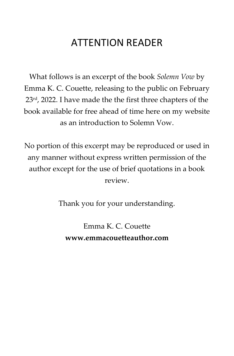# ATTENTION READER

What follows is an excerpt of the book *Solemn Vow* by Emma K. C. Couette, releasing to the public on February 23<sup>rd</sup>, 2022. I have made the the first three chapters of the book available for free ahead of time here on my website as an introduction to Solemn Vow.

No portion of this excerpt may be reproduced or used in any manner without express written permission of the author except for the use of brief quotations in a book review.

Thank you for your understanding.

Emma K. C. Couette **www.emmacouetteauthor.com**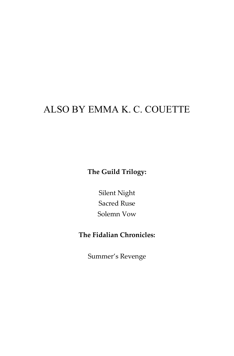# ALSO BY EMMA K. C. COUETTE

**The Guild Trilogy:**

Silent Night Sacred Ruse Solemn Vow

### **The Fidalian Chronicles:**

Summer's Revenge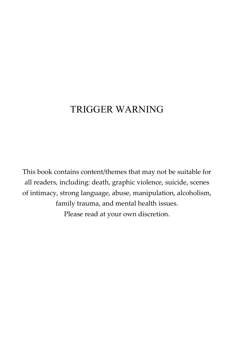## TRIGGER WARNING

This book contains content/themes that may not be suitable for all readers, including: death, graphic violence, suicide, scenes of intimacy, strong language, abuse, manipulation, alcoholism, family trauma, and mental health issues. Please read at your own discretion.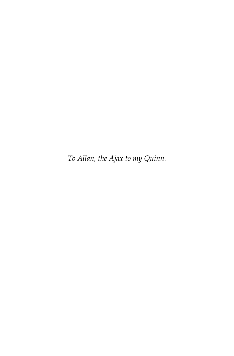*To Allan, the Ajax to my Quinn.*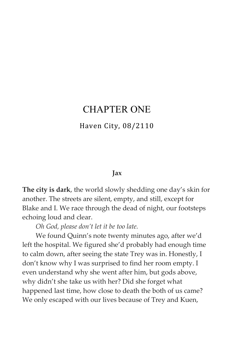### CHAPTER ONE

#### Haven City, 08/2110

#### **Jax**

**The city is dark**, the world slowly shedding one day's skin for another. The streets are silent, empty, and still, except for Blake and I. We race through the dead of night, our footsteps echoing loud and clear.

*Oh God, please don't let it be too late.*

We found Quinn's note twenty minutes ago, after we'd left the hospital. We figured she'd probably had enough time to calm down, after seeing the state Trey was in. Honestly, I don't know why I was surprised to find her room empty. I even understand why she went after him, but gods above, why didn't she take us with her? Did she forget what happened last time, how close to death the both of us came? We only escaped with our lives because of Trey and Kuen,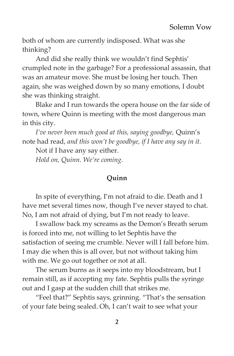both of whom are currently indisposed. What was she thinking?

And did she really think we wouldn't find Sephtis' crumpled note in the garbage? For a professional assassin, that was an amateur move. She must be losing her touch. Then again, she was weighed down by so many emotions, I doubt she was thinking straight.

Blake and I run towards the opera house on the far side of town, where Quinn is meeting with the most dangerous man in this city.

*I've never been much good at this, saying goodbye,* Quinn's note had read, *and this won't be goodbye, if I have any say in it.*

Not if I have any say either.

*Hold on, Quinn. We're coming.*

#### **Quinn**

In spite of everything, I'm not afraid to die. Death and I have met several times now, though I've never stayed to chat. No, I am not afraid of dying, but I'm not ready to leave.

I swallow back my screams as the Demon's Breath serum is forced into me, not willing to let Sephtis have the satisfaction of seeing me crumble. Never will I fall before him. I may die when this is all over, but not without taking him with me. We go out together or not at all.

The serum burns as it seeps into my bloodstream, but I remain still, as if accepting my fate. Sephtis pulls the syringe out and I gasp at the sudden chill that strikes me.

"Feel that?" Sephtis says, grinning. "That's the sensation of your fate being sealed. Oh, I can't wait to see what your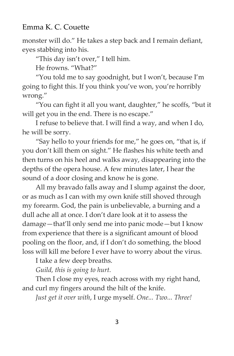monster will do." He takes a step back and I remain defiant, eyes stabbing into his.

"This day isn't over," I tell him.

He frowns. "What?"

"You told me to say goodnight, but I won't, because I'm going to fight this. If you think you've won, you're horribly wrong."

"You can fight it all you want, daughter," he scoffs, "but it will get you in the end. There is no escape."

I refuse to believe that. I will find a way, and when I do, he will be sorry.

"Say hello to your friends for me," he goes on, "that is, if you don't kill them on sight." He flashes his white teeth and then turns on his heel and walks away, disappearing into the depths of the opera house. A few minutes later, I hear the sound of a door closing and know he is gone.

All my bravado falls away and I slump against the door, or as much as I can with my own knife still shoved through my forearm. God, the pain is unbelievable, a burning and a dull ache all at once. I don't dare look at it to assess the damage—that'll only send me into panic mode—but I know from experience that there is a significant amount of blood pooling on the floor, and, if I don't do something, the blood loss will kill me before I ever have to worry about the virus.

I take a few deep breaths.

*Guild, this is going to hurt.*

Then I close my eyes, reach across with my right hand, and curl my fingers around the hilt of the knife.

*Just get it over with*, I urge myself. *One... Two... Three!*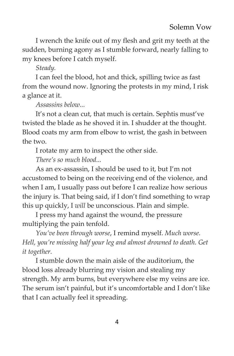I wrench the knife out of my flesh and grit my teeth at the sudden, burning agony as I stumble forward, nearly falling to my knees before I catch myself.

*Steady.*

I can feel the blood, hot and thick, spilling twice as fast from the wound now. Ignoring the protests in my mind, I risk a glance at it.

*Assassins below...*

It's not a clean cut, that much is certain. Sephtis must've twisted the blade as he shoved it in. I shudder at the thought. Blood coats my arm from elbow to wrist, the gash in between the two.

I rotate my arm to inspect the other side.

*There's so much blood...*

As an ex-assassin, I should be used to it, but I'm not accustomed to being on the receiving end of the violence, and when I am, I usually pass out before I can realize how serious the injury is. That being said, if I don't find something to wrap this up quickly, I *will* be unconscious. Plain and simple.

I press my hand against the wound, the pressure multiplying the pain tenfold.

*You've been through worse*, I remind myself. *Much worse. Hell, you're missing half your leg and almost drowned to death. Get it together.*

I stumble down the main aisle of the auditorium, the blood loss already blurring my vision and stealing my strength. My arm burns, but everywhere else my veins are ice. The serum isn't painful, but it's uncomfortable and I don't like that I can actually feel it spreading.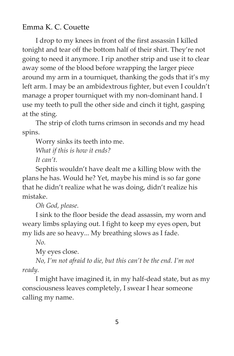I drop to my knees in front of the first assassin I killed tonight and tear off the bottom half of their shirt. They're not going to need it anymore. I rip another strip and use it to clear away some of the blood before wrapping the larger piece around my arm in a tourniquet, thanking the gods that it's my left arm. I may be an ambidextrous fighter, but even I couldn't manage a proper tourniquet with my non-dominant hand. I use my teeth to pull the other side and cinch it tight, gasping at the sting.

The strip of cloth turns crimson in seconds and my head spins.

Worry sinks its teeth into me.

*What if this is how it ends?*

*It can't.*

Sephtis wouldn't have dealt me a killing blow with the plans he has. Would he? Yet, maybe his mind is so far gone that he didn't realize what he was doing, didn't realize his mistake.

*Oh God, please.*

I sink to the floor beside the dead assassin, my worn and weary limbs splaying out. I fight to keep my eyes open, but my lids are so heavy... My breathing slows as I fade.

*No.*

My eyes close.

*No, I'm not afraid to die, but this can't be the end. I'm not ready.*

I might have imagined it, in my half-dead state, but as my consciousness leaves completely, I swear I hear someone calling my name.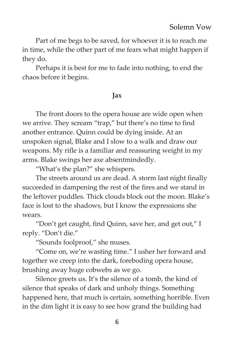Part of me begs to be saved, for whoever it is to reach me in time, while the other part of me fears what might happen if they do.

Perhaps it is best for me to fade into nothing, to end the chaos before it begins.

#### **Jax**

The front doors to the opera house are wide open when we arrive. They scream "trap," but there's no time to find another entrance. Quinn could be dying inside. At an unspoken signal, Blake and I slow to a walk and draw our weapons. My rifle is a familiar and reassuring weight in my arms. Blake swings her axe absentmindedly.

"What's the plan?" she whispers.

The streets around us are dead. A storm last night finally succeeded in dampening the rest of the fires and we stand in the leftover puddles. Thick clouds block out the moon. Blake's face is lost to the shadows, but I know the expressions she wears.

"Don't get caught, find Quinn, save her, and get out," I reply. "Don't die."

"Sounds foolproof," she muses.

"Come on, we're wasting time." I usher her forward and together we creep into the dark, foreboding opera house, brushing away huge cobwebs as we go.

Silence greets us. It's the silence of a tomb, the kind of silence that speaks of dark and unholy things. Something happened here, that much is certain, something horrible. Even in the dim light it is easy to see how grand the building had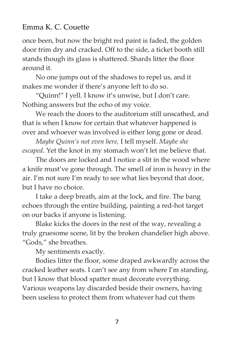once been, but now the bright red paint is faded, the golden door trim dry and cracked. Off to the side, a ticket booth still stands though its glass is shattered. Shards litter the floor around it.

No one jumps out of the shadows to repel us, and it makes me wonder if there's anyone left to do so.

"Quinn!" I yell. I know it's unwise, but I don't care. Nothing answers but the echo of my voice.

We reach the doors to the auditorium still unscathed, and that is when I know for certain that whatever happened is over and whoever was involved is either long gone or dead.

*Maybe Quinn's not even here,* I tell myself. *Maybe she escaped*. Yet the knot in my stomach won't let me believe that.

The doors are locked and I notice a slit in the wood where a knife must've gone through. The smell of iron is heavy in the air. I'm not sure I'm ready to see what lies beyond that door, but I have no choice.

I take a deep breath, aim at the lock, and fire. The bang echoes through the entire building, painting a red-hot target on our backs if anyone is listening.

Blake kicks the doors in the rest of the way, revealing a truly gruesome scene, lit by the broken chandelier high above. "Gods," she breathes.

My sentiments exactly.

Bodies litter the floor, some draped awkwardly across the cracked leather seats. I can't see any from where I'm standing, but I know that blood spatter must decorate everything. Various weapons lay discarded beside their owners, having been useless to protect them from whatever had cut them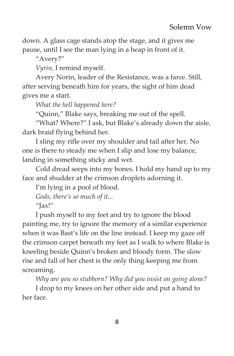down. A glass cage stands atop the stage, and it gives me pause, until I see the man lying in a heap in front of it.

"Avery?"

*Vyrin*, I remind myself.

Avery Norin, leader of the Resistance, was a farce. Still, after serving beneath him for years, the sight of him dead gives me a start.

*What the hell happened here?*

"Quinn," Blake says, breaking me out of the spell.

"What? Where?" I ask, but Blake's already down the aisle, dark braid flying behind her.

I sling my rifle over my shoulder and tail after her. No one is there to steady me when I slip and lose my balance, landing in something sticky and wet.

Cold dread seeps into my bones. I hold my hand up to my face and shudder at the crimson droplets adorning it.

I'm lying in a pool of blood.

*Gods, there's so much of it...*

 $''$ Jax!"

I push myself to my feet and try to ignore the blood painting me, try to ignore the memory of a similar experience when it was Bast's life on the line instead. I keep my gaze off the crimson carpet beneath my feet as I walk to where Blake is kneeling beside Quinn's broken and bloody form. The slow rise and fall of her chest is the only thing keeping me from screaming.

*Why are you so stubborn? Why did you insist on going alone?*

I drop to my knees on her other side and put a hand to her face.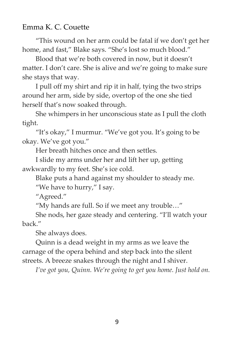"This wound on her arm could be fatal if we don't get her home, and fast," Blake says. "She's lost so much blood."

Blood that we're both covered in now, but it doesn't matter. I don't care. She is alive and we're going to make sure she stays that way.

I pull off my shirt and rip it in half, tying the two strips around her arm, side by side, overtop of the one she tied herself that's now soaked through.

She whimpers in her unconscious state as I pull the cloth tight.

"It's okay," I murmur. "We've got you. It's going to be okay. We've got you."

Her breath hitches once and then settles.

I slide my arms under her and lift her up, getting awkwardly to my feet. She's ice cold.

Blake puts a hand against my shoulder to steady me.

"We have to hurry," I say.

"Agreed."

"My hands are full. So if we meet any trouble…"

She nods, her gaze steady and centering. "I'll watch your back."

She always does.

Quinn is a dead weight in my arms as we leave the carnage of the opera behind and step back into the silent streets. A breeze snakes through the night and I shiver.

*I've got you, Quinn. We're going to get you home. Just hold on.*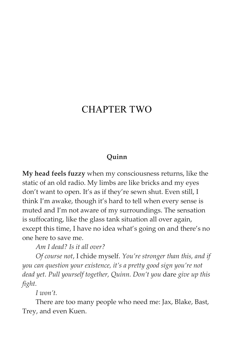## CHAPTER TWO

#### **Quinn**

**My head feels fuzzy** when my consciousness returns, like the static of an old radio. My limbs are like bricks and my eyes don't want to open. It's as if they're sewn shut. Even still, I think I'm awake, though it's hard to tell when every sense is muted and I'm not aware of my surroundings. The sensation is suffocating, like the glass tank situation all over again, except this time, I have no idea what's going on and there's no one here to save me.

*Am I dead? Is it all over?*

*Of course not*, I chide myself. *You're stronger than this, and if you can question your existence, it's a pretty good sign you're not dead yet. Pull yourself together, Quinn. Don't you* dare *give up this fight.*

*I won't.*

There are too many people who need me: Jax, Blake, Bast, Trey, and even Kuen.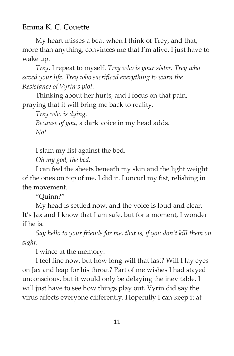My heart misses a beat when I think of Trey, and that, more than anything, convinces me that I'm alive. I just have to wake up.

*Trey*, I repeat to myself. *Trey who is your sister. Trey who saved your life. Trey who sacrificed everything to warn the Resistance of Vyrin's plot.*

Thinking about her hurts, and I focus on that pain, praying that it will bring me back to reality.

*Trey who is dying.*

*Because of you,* a dark voice in my head adds. *No!*

I slam my fist against the bed.

*Oh my god, the bed.*

I can feel the sheets beneath my skin and the light weight of the ones on top of me. I did it. I uncurl my fist, relishing in the movement.

"Quinn?"

My head is settled now, and the voice is loud and clear. It's Jax and I know that I am safe, but for a moment, I wonder if he is.

*Say hello to your friends for me, that is, if you don't kill them on sight.*

I wince at the memory.

I feel fine now, but how long will that last? Will I lay eyes on Jax and leap for his throat? Part of me wishes I had stayed unconscious, but it would only be delaying the inevitable. I will just have to see how things play out. Vyrin did say the virus affects everyone differently. Hopefully I can keep it at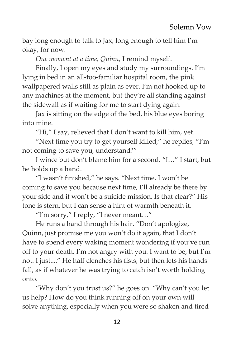bay long enough to talk to Jax, long enough to tell him I'm okay, for now.

*One moment at a time, Quinn*, I remind myself.

Finally, I open my eyes and study my surroundings. I'm lying in bed in an all-too-familiar hospital room, the pink wallpapered walls still as plain as ever. I'm not hooked up to any machines at the moment, but they're all standing against the sidewall as if waiting for me to start dying again.

Jax is sitting on the edge of the bed, his blue eyes boring into mine.

"Hi," I say, relieved that I don't want to kill him, yet.

"Next time you try to get yourself killed," he replies, "I'm not coming to save you, understand?"

I wince but don't blame him for a second. "I…" I start, but he holds up a hand.

"I wasn't finished," he says. "Next time, I won't be coming to save you because next time, I'll already be there by your side and it won't be a suicide mission. Is that clear?" His tone is stern, but I can sense a hint of warmth beneath it.

"I'm sorry," I reply, "I never meant…"

He runs a hand through his hair. "Don't apologize, Quinn, just promise me you won't do it again, that I don't have to spend every waking moment wondering if you've run off to your death. I'm not angry with you. I want to be, but I'm not. I just...." He half clenches his fists, but then lets his hands fall, as if whatever he was trying to catch isn't worth holding onto.

"Why don't you trust us?" he goes on. "Why can't you let us help? How do you think running off on your own will solve anything, especially when you were so shaken and tired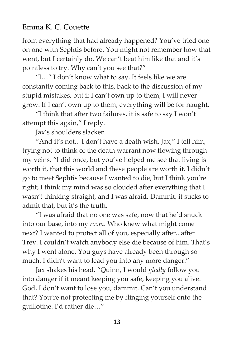from everything that had already happened? You've tried one on one with Sephtis before. You might not remember how that went, but I certainly do. We can't beat him like that and it's pointless to try. Why can't you see that?"

"I…" I don't know what to say. It feels like we are constantly coming back to this, back to the discussion of my stupid mistakes, but if I can't own up to them, I will never grow. If I can't own up to them, everything will be for naught.

"I think that after two failures, it is safe to say I won't attempt this again," I reply.

Jax's shoulders slacken.

"And it's not... I don't have a death wish, Jax," I tell him, trying not to think of the death warrant now flowing through my veins. "I did once, but you've helped me see that living is worth it, that this world and these people are worth it. I didn't go to meet Sephtis because I wanted to die, but I think you're right; I think my mind was so clouded after everything that I wasn't thinking straight, and I was afraid. Dammit, it sucks to admit that, but it's the truth.

"I was afraid that no one was safe, now that he'd snuck into our base, into my *room*. Who knew what might come next? I wanted to protect all of you, especially after...after Trey. I couldn't watch anybody else die because of him. That's why I went alone. You guys have already been through so much. I didn't want to lead you into any more danger."

Jax shakes his head. "Quinn, I would *gladly* follow you into danger if it meant keeping you safe, keeping you alive. God, I don't want to lose you, dammit. Can't you understand that? You're not protecting me by flinging yourself onto the guillotine. I'd rather die…"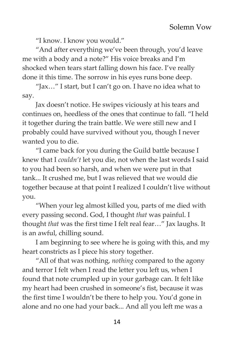"I know. I know you would."

"And after everything we've been through, you'd leave me with a body and a note?" His voice breaks and I'm shocked when tears start falling down his face. I've really done it this time. The sorrow in his eyes runs bone deep.

"Jax…" I start, but I can't go on. I have no idea what to say.

Jax doesn't notice. He swipes viciously at his tears and continues on, heedless of the ones that continue to fall. "I held it together during the train battle. We were still new and I probably could have survived without you, though I never wanted you to die.

"I came back for you during the Guild battle because I knew that I *couldn't* let you die, not when the last words I said to you had been so harsh, and when we were put in that tank... It crushed me, but I was relieved that we would die together because at that point I realized I couldn't live without you.

"When your leg almost killed you, parts of me died with every passing second. God, I thought *that* was painful. I thought *that* was the first time I felt real fear…" Jax laughs. It is an awful, chilling sound.

I am beginning to see where he is going with this, and my heart constricts as I piece his story together.

"All of that was nothing, *nothing* compared to the agony and terror I felt when I read the letter you left us, when I found that note crumpled up in your garbage can. It felt like my heart had been crushed in someone's fist, because it was the first time I wouldn't be there to help you. You'd gone in alone and no one had your back... And all you left me was a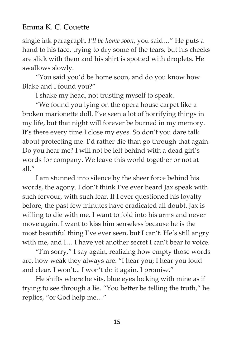single ink paragraph. *I'll be home soon*, you said…" He puts a hand to his face, trying to dry some of the tears, but his cheeks are slick with them and his shirt is spotted with droplets. He swallows slowly.

"You said you'd be home soon, and do you know how Blake and I found you?"

I shake my head, not trusting myself to speak.

"We found you lying on the opera house carpet like a broken marionette doll. I've seen a lot of horrifying things in my life, but that night will forever be burned in my memory. It's there every time I close my eyes. So don't you dare talk about protecting me. I'd rather die than go through that again. Do you hear me? I will not be left behind with a dead girl's words for company. We leave this world together or not at all $"$ 

I am stunned into silence by the sheer force behind his words, the agony. I don't think I've ever heard Jax speak with such fervour, with such fear. If I ever questioned his loyalty before, the past few minutes have eradicated all doubt. Jax is willing to die with me. I want to fold into his arms and never move again. I want to kiss him senseless because he is the most beautiful thing I've ever seen, but I can't. He's still angry with me, and I… I have yet another secret I can't bear to voice.

"I'm sorry," I say again, realizing how empty those words are, how weak they always are. "I hear you; I hear you loud and clear. I won't... I won't do it again. I promise."

He shifts where he sits, blue eyes locking with mine as if trying to see through a lie. "You better be telling the truth," he replies, "or God help me…"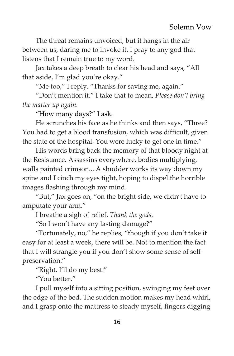The threat remains unvoiced, but it hangs in the air between us, daring me to invoke it. I pray to any god that listens that I remain true to my word.

Jax takes a deep breath to clear his head and says, "All that aside, I'm glad you're okay."

"Me too," I reply. "Thanks for saving me, again."

"Don't mention it." I take that to mean, *Please don't bring the matter up again.*

"How many days?" I ask.

He scrunches his face as he thinks and then says, "Three? You had to get a blood transfusion, which was difficult, given the state of the hospital. You were lucky to get one in time."

His words bring back the memory of that bloody night at the Resistance. Assassins everywhere, bodies multiplying, walls painted crimson... A shudder works its way down my spine and I cinch my eyes tight, hoping to dispel the horrible images flashing through my mind.

"But," Jax goes on, "on the bright side, we didn't have to amputate your arm."

I breathe a sigh of relief. *Thank the gods.*

"So I won't have any lasting damage?"

"Fortunately, no," he replies, "though if you don't take it easy for at least a week, there will be. Not to mention the fact that I will strangle you if you don't show some sense of selfpreservation."

"Right. I'll do my best."

"You better."

I pull myself into a sitting position, swinging my feet over the edge of the bed. The sudden motion makes my head whirl, and I grasp onto the mattress to steady myself, fingers digging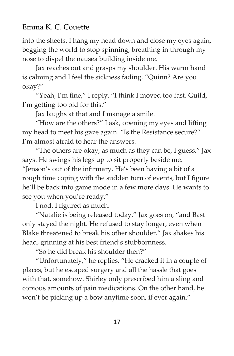into the sheets. I hang my head down and close my eyes again, begging the world to stop spinning, breathing in through my nose to dispel the nausea building inside me.

Jax reaches out and grasps my shoulder. His warm hand is calming and I feel the sickness fading. "Quinn? Are you okay?"

"Yeah, I'm fine," I reply. "I think I moved too fast. Guild, I'm getting too old for this."

Jax laughs at that and I manage a smile.

"How are the others?" I ask, opening my eyes and lifting my head to meet his gaze again. "Is the Resistance secure?" I'm almost afraid to hear the answers.

"The others are okay, as much as they can be, I guess," Jax says. He swings his legs up to sit properly beside me. "Jenson's out of the infirmary. He's been having a bit of a rough time coping with the sudden turn of events, but I figure he'll be back into game mode in a few more days. He wants to see you when you're ready."

I nod. I figured as much.

"Natalie is being released today," Jax goes on, "and Bast only stayed the night. He refused to stay longer, even when Blake threatened to break his other shoulder." Jax shakes his head, grinning at his best friend's stubbornness.

"So he did break his shoulder then?"

"Unfortunately," he replies. "He cracked it in a couple of places, but he escaped surgery and all the hassle that goes with that, somehow. Shirley only prescribed him a sling and copious amounts of pain medications. On the other hand, he won't be picking up a bow anytime soon, if ever again."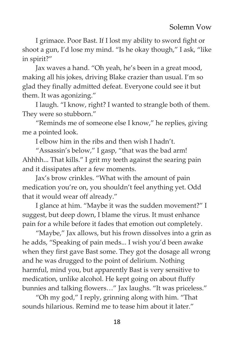I grimace. Poor Bast. If I lost my ability to sword fight or shoot a gun, I'd lose my mind. "Is he okay though," I ask, "like in spirit?"

Jax waves a hand. "Oh yeah, he's been in a great mood, making all his jokes, driving Blake crazier than usual. I'm so glad they finally admitted defeat. Everyone could see it but them. It was agonizing."

I laugh. "I know, right? I wanted to strangle both of them. They were so stubborn."

"Reminds me of someone else I know," he replies, giving me a pointed look.

I elbow him in the ribs and then wish I hadn't.

"Assassin's below," I gasp, "that was the bad arm! Ahhhh... That kills." I grit my teeth against the searing pain and it dissipates after a few moments.

Jax's brow crinkles. "What with the amount of pain medication you're on, you shouldn't feel anything yet. Odd that it would wear off already."

I glance at him. "Maybe it was the sudden movement?" I suggest, but deep down, I blame the virus. It must enhance pain for a while before it fades that emotion out completely.

"Maybe," Jax allows, but his frown dissolves into a grin as he adds, "Speaking of pain meds... I wish you'd been awake when they first gave Bast some. They got the dosage all wrong and he was drugged to the point of delirium. Nothing harmful, mind you, but apparently Bast is very sensitive to medication, unlike alcohol. He kept going on about fluffy bunnies and talking flowers…" Jax laughs. "It was priceless."

"Oh my god," I reply, grinning along with him. "That sounds hilarious. Remind me to tease him about it later."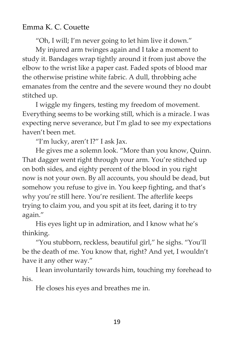"Oh, I will; I'm never going to let him live it down."

My injured arm twinges again and I take a moment to study it. Bandages wrap tightly around it from just above the elbow to the wrist like a paper cast. Faded spots of blood mar the otherwise pristine white fabric. A dull, throbbing ache emanates from the centre and the severe wound they no doubt stitched up.

I wiggle my fingers, testing my freedom of movement. Everything seems to be working still, which is a miracle. I was expecting nerve severance, but I'm glad to see my expectations haven't been met.

"I'm lucky, aren't I?" I ask Jax.

He gives me a solemn look. "More than you know, Quinn. That dagger went right through your arm. You're stitched up on both sides, and eighty percent of the blood in you right now is not your own. By all accounts, you should be dead, but somehow you refuse to give in. You keep fighting, and that's why you're still here. You're resilient. The afterlife keeps trying to claim you, and you spit at its feet, daring it to try again."

His eyes light up in admiration, and I know what he's thinking.

"You stubborn, reckless, beautiful girl," he sighs. "You'll be the death of me. You know that, right? And yet, I wouldn't have it any other way."

I lean involuntarily towards him, touching my forehead to his.

He closes his eyes and breathes me in.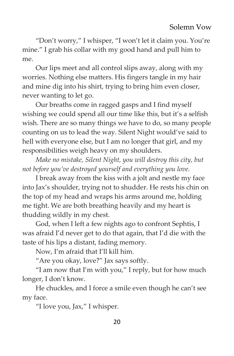"Don't worry," I whisper, "I won't let it claim you. You're mine." I grab his collar with my good hand and pull him to me.

Our lips meet and all control slips away, along with my worries. Nothing else matters. His fingers tangle in my hair and mine dig into his shirt, trying to bring him even closer, never wanting to let go.

Our breaths come in ragged gasps and I find myself wishing we could spend all our time like this, but it's a selfish wish. There are so many things we have to do, so many people counting on us to lead the way. Silent Night would've said to hell with everyone else, but I am no longer that girl, and my responsibilities weigh heavy on my shoulders.

*Make no mistake, Silent Night, you will destroy this city, but not before you've destroyed yourself and everything you love.*

I break away from the kiss with a jolt and nestle my face into Jax's shoulder, trying not to shudder. He rests his chin on the top of my head and wraps his arms around me, holding me tight. We are both breathing heavily and my heart is thudding wildly in my chest.

God, when I left a few nights ago to confront Sephtis, I was afraid I'd never get to do that again, that I'd die with the taste of his lips a distant, fading memory.

Now, I'm afraid that I'll kill him.

"Are you okay, love?" Jax says softly.

"I am now that I'm with you," I reply, but for how much longer, I don't know.

He chuckles, and I force a smile even though he can't see my face.

"I love you, Jax," I whisper.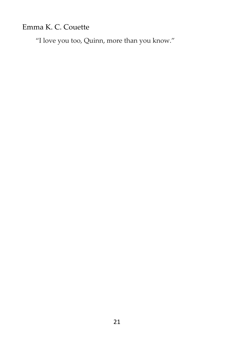"I love you too, Quinn, more than you know."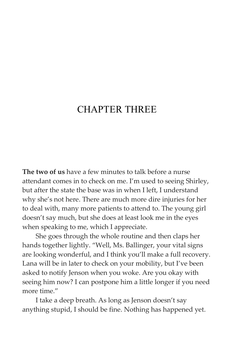## CHAPTER THREE

**The two of us** have a few minutes to talk before a nurse attendant comes in to check on me. I'm used to seeing Shirley, but after the state the base was in when I left, I understand why she's not here. There are much more dire injuries for her to deal with, many more patients to attend to. The young girl doesn't say much, but she does at least look me in the eyes when speaking to me, which I appreciate.

She goes through the whole routine and then claps her hands together lightly. "Well, Ms. Ballinger, your vital signs are looking wonderful, and I think you'll make a full recovery. Lana will be in later to check on your mobility, but I've been asked to notify Jenson when you woke. Are you okay with seeing him now? I can postpone him a little longer if you need more time."

I take a deep breath. As long as Jenson doesn't say anything stupid, I should be fine. Nothing has happened yet.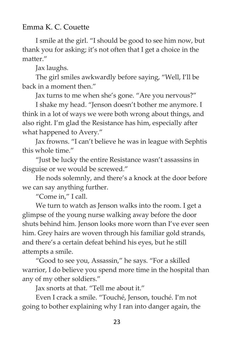I smile at the girl. "I should be good to see him now, but thank you for asking; it's not often that I get a choice in the matter."

Jax laughs.

The girl smiles awkwardly before saying, "Well, I'll be back in a moment then."

Jax turns to me when she's gone. "Are you nervous?"

I shake my head. "Jenson doesn't bother me anymore. I think in a lot of ways we were both wrong about things, and also right. I'm glad the Resistance has him, especially after what happened to Avery."

Jax frowns. "I can't believe he was in league with Sephtis this whole time."

"Just be lucky the entire Resistance wasn't assassins in disguise or we would be screwed."

He nods solemnly, and there's a knock at the door before we can say anything further.

"Come in," I call.

We turn to watch as Jenson walks into the room. I get a glimpse of the young nurse walking away before the door shuts behind him. Jenson looks more worn than I've ever seen him. Grey hairs are woven through his familiar gold strands, and there's a certain defeat behind his eyes, but he still attempts a smile.

"Good to see you, Assassin," he says. "For a skilled warrior, I do believe you spend more time in the hospital than any of my other soldiers."

Jax snorts at that. "Tell me about it."

Even I crack a smile. "Touché, Jenson, touché. I'm not going to bother explaining why I ran into danger again, the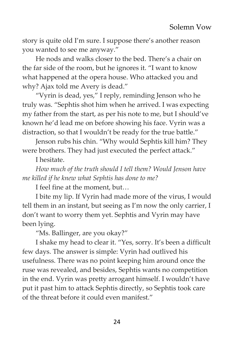story is quite old I'm sure. I suppose there's another reason you wanted to see me anyway."

He nods and walks closer to the bed. There's a chair on the far side of the room, but he ignores it. "I want to know what happened at the opera house. Who attacked you and why? Ajax told me Avery is dead."

"Vyrin is dead, yes," I reply, reminding Jenson who he truly was. "Sephtis shot him when he arrived. I was expecting my father from the start, as per his note to me, but I should've known he'd lead me on before showing his face. Vyrin was a distraction, so that I wouldn't be ready for the true battle."

Jenson rubs his chin. "Why would Sephtis kill him? They were brothers. They had just executed the perfect attack."

I hesitate.

*How much of the truth should I tell them? Would Jenson have me killed if he knew what Sephtis has done to me?*

I feel fine at the moment, but…

I bite my lip. If Vyrin had made more of the virus, I would tell them in an instant, but seeing as I'm now the only carrier, I don't want to worry them yet. Sephtis and Vyrin may have been lying.

"Ms. Ballinger, are you okay?"

I shake my head to clear it. "Yes, sorry. It's been a difficult few days. The answer is simple: Vyrin had outlived his usefulness. There was no point keeping him around once the ruse was revealed, and besides, Sephtis wants no competition in the end. Vyrin was pretty arrogant himself. I wouldn't have put it past him to attack Sephtis directly, so Sephtis took care of the threat before it could even manifest."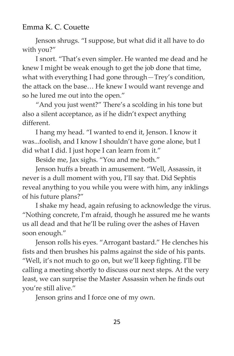Jenson shrugs. "I suppose, but what did it all have to do with you?"

I snort. "That's even simpler. He wanted me dead and he knew I might be weak enough to get the job done that time, what with everything I had gone through—Trey's condition, the attack on the base… He knew I would want revenge and so he lured me out into the open."

"And you just went?" There's a scolding in his tone but also a silent acceptance, as if he didn't expect anything different.

I hang my head. "I wanted to end it, Jenson. I know it was...foolish, and I know I shouldn't have gone alone, but I did what I did. I just hope I can learn from it."

Beside me, Jax sighs. "You and me both."

Jenson huffs a breath in amusement. "Well, Assassin, it never is a dull moment with you, I'll say that. Did Sephtis reveal anything to you while you were with him, any inklings of his future plans?"

I shake my head, again refusing to acknowledge the virus. "Nothing concrete, I'm afraid, though he assured me he wants us all dead and that he'll be ruling over the ashes of Haven soon enough."

Jenson rolls his eyes. "Arrogant bastard." He clenches his fists and then brushes his palms against the side of his pants. "Well, it's not much to go on, but we'll keep fighting. I'll be calling a meeting shortly to discuss our next steps. At the very least, we can surprise the Master Assassin when he finds out you're still alive."

Jenson grins and I force one of my own.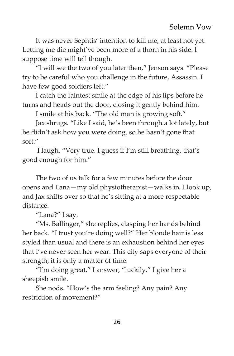It was never Sephtis' intention to kill me, at least not yet. Letting me die might've been more of a thorn in his side. I suppose time will tell though.

"I will see the two of you later then," Jenson says. "Please try to be careful who you challenge in the future, Assassin. I have few good soldiers left."

I catch the faintest smile at the edge of his lips before he turns and heads out the door, closing it gently behind him.

I smile at his back. "The old man is growing soft."

Jax shrugs. "Like I said, he's been through a lot lately, but he didn't ask how you were doing, so he hasn't gone that soft."

I laugh. "Very true. I guess if I'm still breathing, that's good enough for him."

The two of us talk for a few minutes before the door opens and Lana—my old physiotherapist—walks in. I look up, and Jax shifts over so that he's sitting at a more respectable distance.

"Lana?" I say.

"Ms. Ballinger," she replies, clasping her hands behind her back. "I trust you're doing well?" Her blonde hair is less styled than usual and there is an exhaustion behind her eyes that I've never seen her wear. This city saps everyone of their strength; it is only a matter of time.

"I'm doing great," I answer, "luckily." I give her a sheepish smile.

She nods. "How's the arm feeling? Any pain? Any restriction of movement?"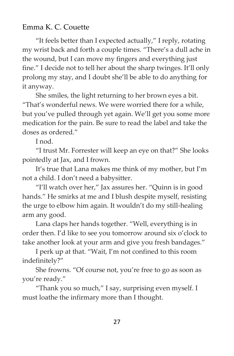"It feels better than I expected actually," I reply, rotating my wrist back and forth a couple times. "There's a dull ache in the wound, but I can move my fingers and everything just fine." I decide not to tell her about the sharp twinges. It'll only prolong my stay, and I doubt she'll be able to do anything for it anyway.

She smiles, the light returning to her brown eyes a bit. "That's wonderful news. We were worried there for a while, but you've pulled through yet again. We'll get you some more medication for the pain. Be sure to read the label and take the doses as ordered."

I nod.

"I trust Mr. Forrester will keep an eye on that?" She looks pointedly at Jax, and I frown.

It's true that Lana makes me think of my mother, but I'm not a child. I don't need a babysitter.

"I'll watch over her," Jax assures her. "Quinn is in good hands." He smirks at me and I blush despite myself, resisting the urge to elbow him again. It wouldn't do my still-healing arm any good.

Lana claps her hands together. "Well, everything is in order then. I'd like to see you tomorrow around six o'clock to take another look at your arm and give you fresh bandages."

I perk up at that. "Wait, I'm not confined to this room indefinitely?"

She frowns. "Of course not, you're free to go as soon as you're ready."

"Thank you so much," I say, surprising even myself. I must loathe the infirmary more than I thought.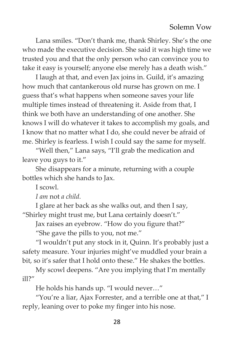Lana smiles. "Don't thank me, thank Shirley. She's the one who made the executive decision. She said it was high time we trusted you and that the only person who can convince you to take it easy is yourself; anyone else merely has a death wish."

I laugh at that, and even Jax joins in. Guild, it's amazing how much that cantankerous old nurse has grown on me. I guess that's what happens when someone saves your life multiple times instead of threatening it. Aside from that, I think we both have an understanding of one another. She knows I will do whatever it takes to accomplish my goals, and I know that no matter what I do, she could never be afraid of me. Shirley is fearless. I wish I could say the same for myself.

"Well then," Lana says, "I'll grab the medication and leave you guys to it."

She disappears for a minute, returning with a couple bottles which she hands to Jax.

I scowl.

*I am* not *a child.*

I glare at her back as she walks out, and then I say, "Shirley might trust me, but Lana certainly doesn't."

Jax raises an eyebrow. "How do you figure that?"

"She gave the pills to you, not me."

"I wouldn't put any stock in it, Quinn. It's probably just a safety measure. Your injuries might've muddled your brain a bit, so it's safer that I hold onto these." He shakes the bottles.

My scowl deepens. "Are you implying that I'm mentally ill?"

He holds his hands up. "I would never…"

"You're a liar, Ajax Forrester, and a terrible one at that," I reply, leaning over to poke my finger into his nose.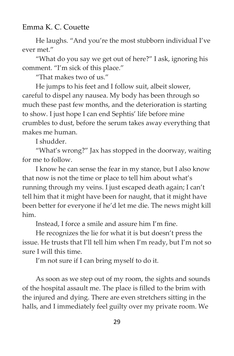He laughs. "And you're the most stubborn individual I've ever met."

"What do you say we get out of here?" I ask, ignoring his comment. "I'm sick of this place."

"That makes two of us."

He jumps to his feet and I follow suit, albeit slower, careful to dispel any nausea. My body has been through so much these past few months, and the deterioration is starting to show. I just hope I can end Sephtis' life before mine crumbles to dust, before the serum takes away everything that makes me human.

I shudder.

"What's wrong?" Jax has stopped in the doorway, waiting for me to follow.

I know he can sense the fear in my stance, but I also know that now is not the time or place to tell him about what's running through my veins. I just escaped death again; I can't tell him that it might have been for naught, that it might have been better for everyone if he'd let me die. The news might kill him.

Instead, I force a smile and assure him I'm fine.

He recognizes the lie for what it is but doesn't press the issue. He trusts that I'll tell him when I'm ready, but I'm not so sure I will this time.

I'm not sure if I can bring myself to do it.

As soon as we step out of my room, the sights and sounds of the hospital assault me. The place is filled to the brim with the injured and dying. There are even stretchers sitting in the halls, and I immediately feel guilty over my private room. We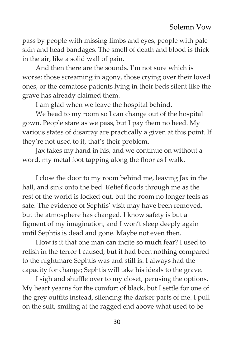pass by people with missing limbs and eyes, people with pale skin and head bandages. The smell of death and blood is thick in the air, like a solid wall of pain.

And then there are the sounds. I'm not sure which is worse: those screaming in agony, those crying over their loved ones, or the comatose patients lying in their beds silent like the grave has already claimed them.

I am glad when we leave the hospital behind.

We head to my room so I can change out of the hospital gown. People stare as we pass, but I pay them no heed. My various states of disarray are practically a given at this point. If they're not used to it, that's their problem.

Jax takes my hand in his, and we continue on without a word, my metal foot tapping along the floor as I walk.

I close the door to my room behind me, leaving Jax in the hall, and sink onto the bed. Relief floods through me as the rest of the world is locked out, but the room no longer feels as safe. The evidence of Sephtis' visit may have been removed, but the atmosphere has changed. I know safety is but a figment of my imagination, and I won't sleep deeply again until Sephtis is dead and gone. Maybe not even then.

How is it that one man can incite so much fear? I used to relish in the terror I caused, but it had been nothing compared to the nightmare Sephtis was and still is. I always had the capacity for change; Sephtis will take his ideals to the grave.

I sigh and shuffle over to my closet, perusing the options. My heart yearns for the comfort of black, but I settle for one of the grey outfits instead, silencing the darker parts of me. I pull on the suit, smiling at the ragged end above what used to be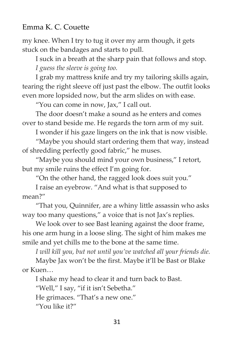my knee. When I try to tug it over my arm though, it gets stuck on the bandages and starts to pull.

I suck in a breath at the sharp pain that follows and stop. *I guess the sleeve is going too.*

I grab my mattress knife and try my tailoring skills again, tearing the right sleeve off just past the elbow. The outfit looks even more lopsided now, but the arm slides on with ease.

"You can come in now, Jax," I call out.

The door doesn't make a sound as he enters and comes over to stand beside me. He regards the torn arm of my suit.

I wonder if his gaze lingers on the ink that is now visible.

"Maybe you should start ordering them that way, instead of shredding perfectly good fabric," he muses.

"Maybe you should mind your own business," I retort, but my smile ruins the effect I'm going for.

"On the other hand, the ragged look does suit you."

I raise an eyebrow. "And what is that supposed to mean?"

"That you, Quinnifer, are a whiny little assassin who asks way too many questions," a voice that is not Jax's replies.

We look over to see Bast leaning against the door frame, his one arm hung in a loose sling. The sight of him makes me smile and yet chills me to the bone at the same time.

*I will kill you, but not until you've watched all your friends die.*

Maybe Jax won't be the first. Maybe it'll be Bast or Blake or Kuen…

I shake my head to clear it and turn back to Bast.

"Well," I say, "if it isn't Sebetha."

He grimaces. "That's a new one."

"You like it?"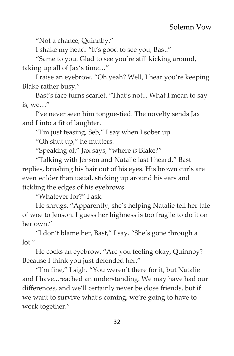"Not a chance, Quinnby."

I shake my head. "It's good to see you, Bast."

"Same to you. Glad to see you're still kicking around, taking up all of Jax's time…"

I raise an eyebrow. "Oh yeah? Well, I hear you're keeping Blake rather busy."

Bast's face turns scarlet. "That's not... What I mean to say is, we…"

I've never seen him tongue-tied. The novelty sends Jax and I into a fit of laughter.

"I'm just teasing, Seb," I say when I sober up.

"Oh shut up," he mutters.

"Speaking of," Jax says, "where *is* Blake?"

"Talking with Jenson and Natalie last I heard," Bast replies, brushing his hair out of his eyes. His brown curls are even wilder than usual, sticking up around his ears and tickling the edges of his eyebrows.

"Whatever for?" I ask.

He shrugs. "Apparently, she's helping Natalie tell her tale of woe to Jenson. I guess her highness is too fragile to do it on her own."

"I don't blame her, Bast," I say. "She's gone through a  $\ln$ "

He cocks an eyebrow. "Are you feeling okay, Quinnby? Because I think you just defended her."

"I'm fine," I sigh. "You weren't there for it, but Natalie and I have...reached an understanding. We may have had our differences, and we'll certainly never be close friends, but if we want to survive what's coming, we're going to have to work together."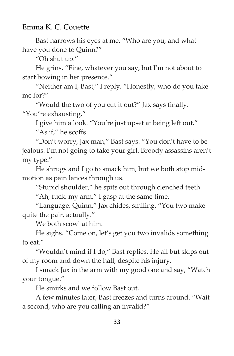Bast narrows his eyes at me. "Who are you, and what have you done to Quinn?"

"Oh shut up."

He grins. "Fine, whatever you say, but I'm not about to start bowing in her presence."

"Neither am I, Bast," I reply. "Honestly, who do you take me for?"

"Would the two of you cut it out?" Jax says finally. "You're exhausting."

I give him a look. "You're just upset at being left out."

"As if," he scoffs.

"Don't worry, Jax man," Bast says. "You don't have to be jealous. I'm not going to take your girl. Broody assassins aren't my type."

He shrugs and I go to smack him, but we both stop midmotion as pain lances through us.

"Stupid shoulder," he spits out through clenched teeth.

"Ah, fuck, my arm," I gasp at the same time.

"Language, Quinn," Jax chides, smiling. "You two make quite the pair, actually."

We both scowl at him.

He sighs. "Come on, let's get you two invalids something to eat."

"Wouldn't mind if I do," Bast replies. He all but skips out of my room and down the hall, despite his injury.

I smack Jax in the arm with my good one and say, "Watch your tongue."

He smirks and we follow Bast out.

A few minutes later, Bast freezes and turns around. "Wait a second, who are you calling an invalid?"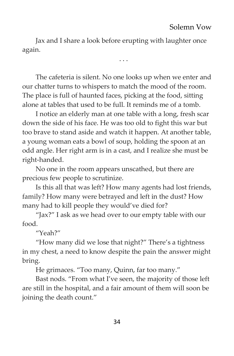Jax and I share a look before erupting with laughter once again.

. . .

The cafeteria is silent. No one looks up when we enter and our chatter turns to whispers to match the mood of the room. The place is full of haunted faces, picking at the food, sitting alone at tables that used to be full. It reminds me of a tomb.

I notice an elderly man at one table with a long, fresh scar down the side of his face. He was too old to fight this war but too brave to stand aside and watch it happen. At another table, a young woman eats a bowl of soup, holding the spoon at an odd angle. Her right arm is in a cast, and I realize she must be right-handed.

No one in the room appears unscathed, but there are precious few people to scrutinize.

Is this all that was left? How many agents had lost friends, family? How many were betrayed and left in the dust? How many had to kill people they would've died for?

"Jax?" I ask as we head over to our empty table with our food.

"Yeah?"

"How many did we lose that night?" There's a tightness in my chest, a need to know despite the pain the answer might bring.

He grimaces. "Too many, Quinn, far too many."

Bast nods. "From what I've seen, the majority of those left are still in the hospital, and a fair amount of them will soon be joining the death count."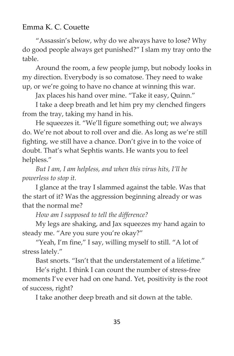"Assassin's below, why do we always have to lose? Why do good people always get punished?" I slam my tray onto the table.

Around the room, a few people jump, but nobody looks in my direction. Everybody is so comatose. They need to wake up, or we're going to have no chance at winning this war.

Jax places his hand over mine. "Take it easy, Quinn."

I take a deep breath and let him pry my clenched fingers from the tray, taking my hand in his.

He squeezes it. "We'll figure something out; we always do. We're not about to roll over and die. As long as we're still fighting, we still have a chance. Don't give in to the voice of doubt. That's what Sephtis wants. He wants you to feel helpless."

*But I am, I am helpless, and when this virus hits, I'll be powerless to stop it.*

I glance at the tray I slammed against the table. Was that the start of it? Was the aggression beginning already or was that the normal me?

*How am I supposed to tell the difference?*

My legs are shaking, and Jax squeezes my hand again to steady me. "Are you sure you're okay?"

"Yeah, I'm fine," I say, willing myself to still. "A lot of stress lately."

Bast snorts. "Isn't that the understatement of a lifetime."

He's right. I think I can count the number of stress-free moments I've ever had on one hand. Yet, positivity is the root of success, right?

I take another deep breath and sit down at the table.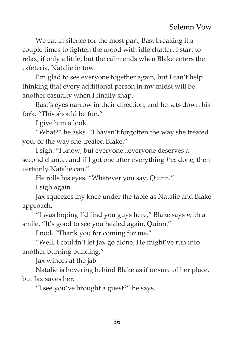We eat in silence for the most part, Bast breaking it a couple times to lighten the mood with idle chatter. I start to relax, if only a little, but the calm ends when Blake enters the cafeteria, Natalie in tow.

I'm glad to see everyone together again, but I can't help thinking that every additional person in my midst will be another casualty when I finally snap.

Bast's eyes narrow in their direction, and he sets down his fork. "This should be fun."

I give him a look.

"What?" he asks. "I haven't forgotten the way she treated you, or the way she treated Blake."

I sigh. "I know, but everyone...everyone deserves a second chance, and if I got one after everything *I've* done, then certainly Natalie can."

He rolls his eyes. "Whatever you say, Quinn."

I sigh again.

Jax squeezes my knee under the table as Natalie and Blake approach.

"I was hoping I'd find you guys here," Blake says with a smile. "It's good to see you healed again, Quinn."

I nod. "Thank you for coming for me."

"Well, I couldn't let Jax go alone. He might've run into another burning building."

Jax winces at the jab.

Natalie is hovering behind Blake as if unsure of her place, but Jax saves her.

"I see you've brought a guest?" he says.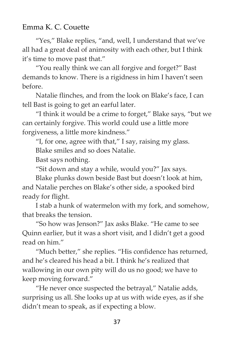"Yes," Blake replies, "and, well, I understand that we've all had a great deal of animosity with each other, but I think it's time to move past that."

"You really think we can all forgive and forget?" Bast demands to know. There is a rigidness in him I haven't seen before.

Natalie flinches, and from the look on Blake's face, I can tell Bast is going to get an earful later.

"I think it would be a crime to forget," Blake says, "but we can certainly forgive. This world could use a little more forgiveness, a little more kindness."

"I, for one, agree with that," I say, raising my glass.

Blake smiles and so does Natalie.

Bast says nothing.

"Sit down and stay a while, would you?" Jax says.

Blake plunks down beside Bast but doesn't look at him, and Natalie perches on Blake's other side, a spooked bird ready for flight.

I stab a hunk of watermelon with my fork, and somehow, that breaks the tension.

"So how was Jenson?" Jax asks Blake. "He came to see Quinn earlier, but it was a short visit, and I didn't get a good read on him."

"Much better," she replies. "His confidence has returned, and he's cleared his head a bit. I think he's realized that wallowing in our own pity will do us no good; we have to keep moving forward."

"He never once suspected the betrayal," Natalie adds, surprising us all. She looks up at us with wide eyes, as if she didn't mean to speak, as if expecting a blow.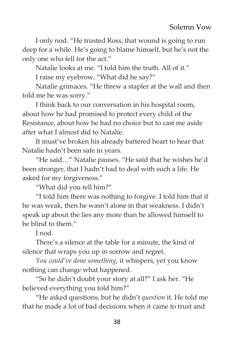I only nod. "He trusted Ross; that wound is going to run deep for a while. He's going to blame himself, but he's not the only one who fell for the act."

Natalie looks at me. "I told him the truth. All of it."

I raise my eyebrow. "What did he say?"

Natalie grimaces. "He threw a stapler at the wall and then told me he was sorry."

I think back to our conversation in his hospital room, about how he had promised to protect every child of the Resistance, about how he had no choice but to cast me aside after what I almost did to Natalie.

It must've broken his already battered heart to hear that Natalie hadn't been safe in years.

"He said…" Natalie pauses. "He said that he wishes he'd been stronger, that I hadn't had to deal with such a life. He asked for my forgiveness."

"What did you tell him?"

"I told him there was nothing to forgive. I told him that if he was weak, then he wasn't alone in that weakness. I didn't speak up about the lies any more than he allowed himself to be blind to them."

I nod.

There's a silence at the table for a minute, the kind of silence that wraps you up in sorrow and regret.

*You could've done something*, it whispers, yet you know nothing can change what happened.

"So he didn't doubt your story at all?" I ask her. "He believed everything you told him?"

"He asked questions, but he didn't *question* it. He told me that he made a lot of bad decisions when it came to trust and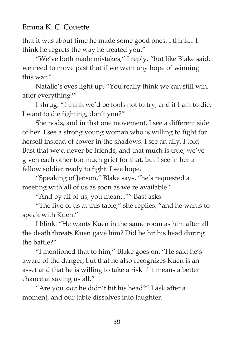that it was about time he made some good ones. I think... I think he regrets the way he treated you."

"We've both made mistakes," I reply, "but like Blake said, we need to move past that if we want any hope of winning this war"

Natalie's eyes light up. "You really think we can still win, after everything?"

I shrug. "I think we'd be fools not to try, and if I am to die, I want to die fighting, don't you?"

She nods, and in that one movement, I see a different side of her. I see a strong young woman who is willing to fight for herself instead of cower in the shadows. I see an ally. I told Bast that we'd never be friends, and that much is true; we've given each other too much grief for that, but I see in her a fellow soldier ready to fight. I see hope.

"Speaking of Jenson," Blake says, "he's requested a meeting with all of us as soon as we're available."

"And by all of us, you mean...?" Bast asks.

"The five of us at this table," she replies, "and he wants to speak with Kuen."

I blink. "He wants Kuen in the same room as him after all the death threats Kuen gave him? Did he hit his head during the battle?"

"I mentioned that to him," Blake goes on. "He said he's aware of the danger, but that he also recognizes Kuen is an asset and that he is willing to take a risk if it means a better chance at saving us all."

"Are you *sure* he didn't hit his head?" I ask after a moment, and our table dissolves into laughter.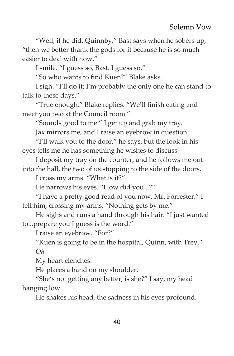"Well, if he did, Quinnby," Bast says when he sobers up, "then we better thank the gods for it because he is so much easier to deal with now."

I smile. "I guess so, Bast. I guess so."

"So who wants to find Kuen?" Blake asks.

I sigh. "I'll do it; I'm probably the only one he can stand to talk to these days."

"True enough," Blake replies. "We'll finish eating and meet you two at the Council room."

"Sounds good to me." I get up and grab my tray.

Jax mirrors me, and I raise an eyebrow in question.

"I'll walk you to the door," he says, but the look in his eyes tells me he has something he wishes to discuss.

I deposit my tray on the counter, and he follows me out into the hall, the two of us stopping to the side of the doors.

I cross my arms. "What is it?"

He narrows his eyes. "How did you...?"

"I have a pretty good read of you now, Mr. Forrester," I tell him, crossing my arms. "Nothing gets by me."

He sighs and runs a hand through his hair. "I just wanted to...prepare you I guess is the word."

I raise an eyebrow. "For?"

"Kuen is going to be in the hospital, Quinn, with Trey." *Oh.*

My heart clenches.

He places a hand on my shoulder.

"She's not getting any better, is she?" I say, my head hanging low.

He shakes his head, the sadness in his eyes profound.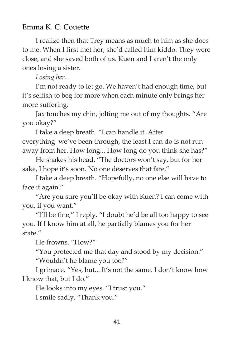I realize then that Trey means as much to him as she does to me. When I first met her, she'd called him kiddo. They were close, and she saved both of us. Kuen and I aren't the only ones losing a sister.

*Losing her..*.

I'm not ready to let go. We haven't had enough time, but it's selfish to beg for more when each minute only brings her more suffering.

Jax touches my chin, jolting me out of my thoughts. "Are you okay?"

I take a deep breath. "I can handle it. After everything we've been through, the least I can do is not run away from her. How long... How long do you think she has?"

He shakes his head. "The doctors won't say, but for her sake, I hope it's soon. No one deserves that fate."

I take a deep breath. "Hopefully, no one else will have to face it again."

"Are you sure you'll be okay with Kuen? I can come with you, if you want."

"I'll be fine," I reply. "I doubt he'd be all too happy to see you. If I know him at all, he partially blames you for her state."

He frowns. "How?"

"You protected me that day and stood by my decision."

"Wouldn't he blame you too?"

I grimace. "Yes, but... It's not the same. I don't know how I know that, but I do."

He looks into my eyes. "I trust you." I smile sadly. "Thank you."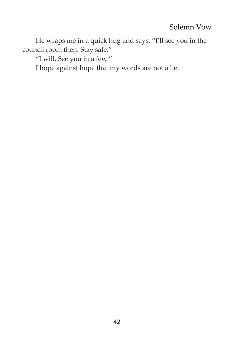He wraps me in a quick hug and says, "I'll see you in the council room then. Stay safe."

"I will. See you in a few."

I hope against hope that my words are not a lie.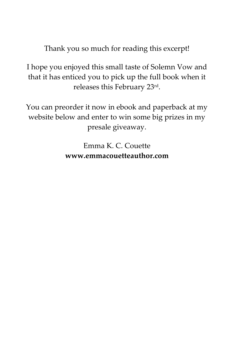Thank you so much for reading this excerpt!

I hope you enjoyed this small taste of Solemn Vow and that it has enticed you to pick up the full book when it releases this February 23rd .

You can preorder it now in ebook and paperback at my website below and enter to win some big prizes in my presale giveaway.

> Emma K. C. Couette **www.emmacouetteauthor.com**